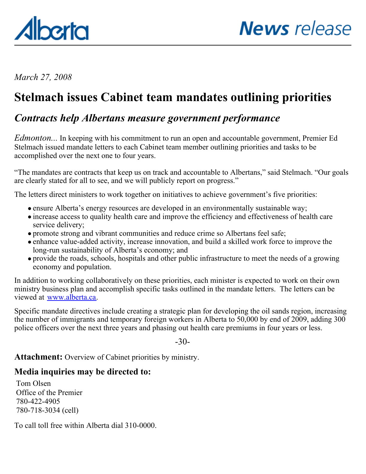<span id="page-0-0"></span>

*March 27, 2008*

## **Stelmach issues Cabinet team mandates outlining priorities**

## *Contracts help Albertans measure government performance*

*Edmonton...* In keeping with his commitment to run an open and accountable government, Premier Ed Stelmach issued mandate letters to each Cabinet team member outlining priorities and tasks to be accomplished over the next one to four years.

"The mandates are contracts that keep us on track and accountable to Albertans," said Stelmach. "Our goals are clearly stated for all to see, and we will publicly report on progress."

The letters direct ministers to work together on initiatives to achieve government's five priorities:

- ensure Alberta's energy resources are developed in an environmentally sustainable way;
- increase access to quality health care and improve the efficiency and effectiveness of health care service delivery;
- promote strong and vibrant communities and reduce crime so Albertans feel safe;
- enhance value-added activity, increase innovation, and build a skilled work force to improve the long-run sustainability of Alberta's economy; and
- provide the roads, schools, hospitals and other public infrastructure to meet the needs of a growing economy and population.

In addition to working collaboratively on these priorities, each minister is expected to work on their own ministry business plan and accomplish specific tasks outlined in the mandate letters. The letters can be viewed at [www.alberta.ca](http://www.alberta.ca/).

Specific mandate directives include creating a strategic plan for developing the oil sands region, increasing the number of immigrants and temporary foreign workers in Alberta to 50,000 by end of 2009, adding 300 police officers over the next three years and phasing out health care premiums in four years or less.

 $-30-$ 

Attachment: Overview of Cabinet priorities by ministry.

#### **Media inquiries may be directed to:**

Tom Olsen Office of the Premier 780-422-4905 780-718-3034 (cell)

To call toll free within Alberta dial 310-0000.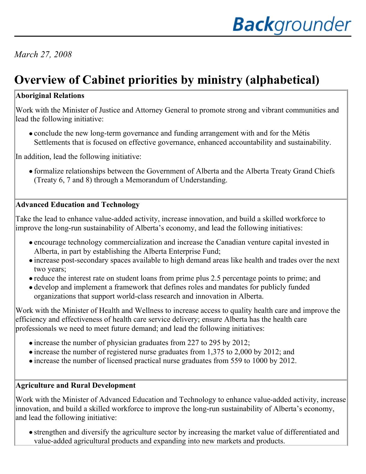## *March 27, 2008*

# **Overview of Cabinet priorities by ministry (alphabetical)**

#### **Aboriginal Relations**

Work with the Minister of Justice and Attorney General to promote strong and vibrant communities and lead the following initiative:

• conclude the new long-term governance and funding arrangement with and for the Métis Settlements that is focused on effective governance, enhanced accountability and sustainability.

In addition, lead the following initiative:

formalize relationships between the Government of Alberta and the Alberta Treaty Grand Chiefs (Treaty 6, 7 and 8) through a Memorandum of Understanding.

#### **Advanced Education and Technology**

Take the lead to enhance value-added activity, increase innovation, and build a skilled workforce to improve the long-run sustainability of Alberta's economy, and lead the following initiatives:

- encourage technology commercialization and increase the Canadian venture capital invested in Alberta, in part by establishing the Alberta Enterprise Fund;
- increase post-secondary spaces available to high demand areas like health and trades over the next two years;
- reduce the interest rate on student loans from prime plus 2.5 percentage points to prime; and
- develop and implement a framework that defines roles and mandates for publicly funded organizations that support world-class research and innovation in Alberta.

Work with the Minister of Health and Wellness to increase access to quality health care and improve the efficiency and effectiveness of health care service delivery; ensure Alberta has the health care professionals we need to meet future demand; and lead the following initiatives:

- increase the number of physician graduates from 227 to 295 by 2012;
- increase the number of registered nurse graduates from 1,375 to 2,000 by 2012; and
- increase the number of licensed practical nurse graduates from 559 to 1000 by 2012.

#### **Agriculture and Rural Development**

Work with the Minister of Advanced Education and Technology to enhance value-added activity, increase innovation, and build a skilled workforce to improve the long-run sustainability of Alberta's economy, and lead the following initiative:

strengthen and diversify the agriculture sector by increasing the market value of differentiated and value-added agricultural products and expanding into new markets and products.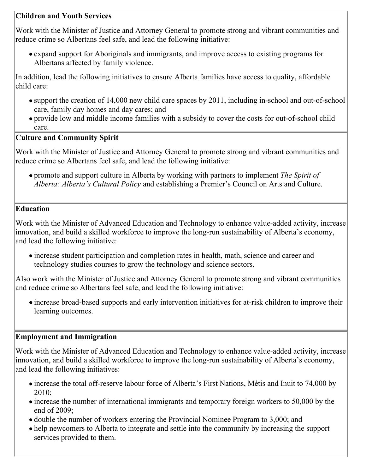#### **Children and Youth Services**

Work with the Minister of Justice and Attorney General to promote strong and vibrant communities and reduce crime so Albertans feel safe, and lead the following initiative:

expand support for Aboriginals and immigrants, and improve access to existing programs for Albertans affected by family violence.

In addition, lead the following initiatives to ensure Alberta families have access to quality, affordable child care:

- support the creation of 14,000 new child care spaces by 2011, including in-school and out-of-school care, family day homes and day cares; and
- provide low and middle income families with a subsidy to cover the costs for out-of-school child care.

#### **Culture and Community Spirit**

Work with the Minister of Justice and Attorney General to promote strong and vibrant communities and reduce crime so Albertans feel safe, and lead the following initiative:

promote and support culture in Alberta by working with partners to implement *The Spirit of Alberta: Alberta's Cultural Policy* and establishing a Premier's Council on Arts and Culture.

#### **Education**

Work with the Minister of Advanced Education and Technology to enhance value-added activity, increase innovation, and build a skilled workforce to improve the long-run sustainability of Alberta's economy, and lead the following initiative:

increase student participation and completion rates in health, math, science and career and technology studies courses to grow the technology and science sectors.

Also work with the Minister of Justice and Attorney General to promote strong and vibrant communities and reduce crime so Albertans feel safe, and lead the following initiative:

increase broad-based supports and early intervention initiatives for at-risk children to improve their learning outcomes.

#### **Employment and Immigration**

Work with the Minister of Advanced Education and Technology to enhance value-added activity, increase innovation, and build a skilled workforce to improve the long-run sustainability of Alberta's economy, and lead the following initiatives:

- increase the total off-reserve labour force of Alberta's First Nations, Métis and Inuit to 74,000 by 2010;
- increase the number of international immigrants and temporary foreign workers to 50,000 by the end of 2009;
- double the number of workers entering the Provincial Nominee Program to 3,000; and
- help newcomers to Alberta to integrate and settle into the community by increasing the support services provided to them.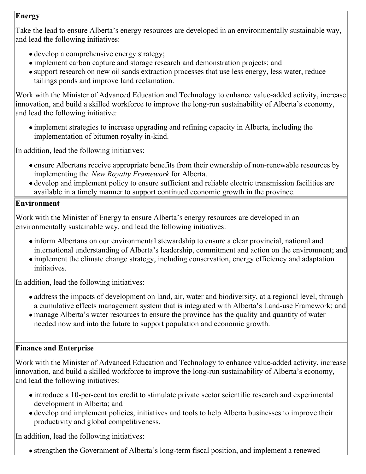#### **Energy**

Take the lead to ensure Alberta's energy resources are developed in an environmentally sustainable way, and lead the following initiatives:

- develop a comprehensive energy strategy;
- implement carbon capture and storage research and demonstration projects; and
- support research on new oil sands extraction processes that use less energy, less water, reduce tailings ponds and improve land reclamation.

Work with the Minister of Advanced Education and Technology to enhance value-added activity, increase innovation, and build a skilled workforce to improve the long-run sustainability of Alberta's economy, and lead the following initiative:

implement strategies to increase upgrading and refining capacity in Alberta, including the implementation of bitumen royalty in-kind.

In addition, lead the following initiatives:

- ensure Albertans receive appropriate benefits from their ownership of non-renewable resources by implementing the *New Royalty Framework* for Alberta.
- develop and implement policy to ensure sufficient and reliable electric transmission facilities are available in a timely manner to support continued economic growth in the province.

#### **Environment**

Work with the Minister of Energy to ensure Alberta's energy resources are developed in an environmentally sustainable way, and lead the following initiatives:

- inform Albertans on our environmental stewardship to ensure a clear provincial, national and international understanding of Alberta's leadership, commitment and action on the environment; and
- implement the climate change strategy, including conservation, energy efficiency and adaptation initiatives.

In addition, lead the following initiatives:

- address the impacts of development on land, air, water and biodiversity, at a regional level, through a cumulative effects management system that is integrated with Alberta's Land-use Framework; and
- manage Alberta's water resources to ensure the province has the quality and quantity of water needed now and into the future to support population and economic growth.

#### **Finance and Enterprise**

Work with the Minister of Advanced Education and Technology to enhance value-added activity, increase innovation, and build a skilled workforce to improve the long-run sustainability of Alberta's economy, and lead the following initiatives:

- introduce a 10-per-cent tax credit to stimulate private sector scientific research and experimental development in Alberta; and
- develop and implement policies, initiatives and tools to help Alberta businesses to improve their productivity and global competitiveness.

In addition, lead the following initiatives:

strengthen the Government of Alberta's long-term fiscal position, and implement a renewed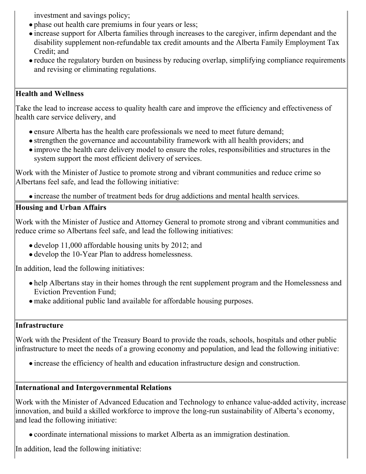investment and savings policy;

- phase out health care premiums in four years or less;
- increase support for Alberta families through increases to the caregiver, infirm dependant and the disability supplement non-refundable tax credit amounts and the Alberta Family Employment Tax Credit; and
- reduce the regulatory burden on business by reducing overlap, simplifying compliance requirements and revising or eliminating regulations.

#### **Health and Wellness**

Take the lead to increase access to quality health care and improve the efficiency and effectiveness of health care service delivery, and

- ensure Alberta has the health care professionals we need to meet future demand;
- strengthen the governance and accountability framework with all health providers; and
- improve the health care delivery model to ensure the roles, responsibilities and structures in the system support the most efficient delivery of services.

Work with the Minister of Justice to promote strong and vibrant communities and reduce crime so Albertans feel safe, and lead the following initiative:

increase the number of treatment beds for drug addictions and mental health services.

#### **Housing and Urban Affairs**

Work with the Minister of Justice and Attorney General to promote strong and vibrant communities and reduce crime so Albertans feel safe, and lead the following initiatives:

- develop 11,000 affordable housing units by 2012; and
- develop the 10-Year Plan to address homelessness.

In addition, lead the following initiatives:

- help Albertans stay in their homes through the rent supplement program and the Homelessness and Eviction Prevention Fund;
- make additional public land available for affordable housing purposes.

#### **Infrastructure**

Work with the President of the Treasury Board to provide the roads, schools, hospitals and other public infrastructure to meet the needs of a growing economy and population, and lead the following initiative:

increase the efficiency of health and education infrastructure design and construction.

#### **International and Intergovernmental Relations**

Work with the Minister of Advanced Education and Technology to enhance value-added activity, increase innovation, and build a skilled workforce to improve the long-run sustainability of Alberta's economy, and lead the following initiative:

coordinate international missions to market Alberta as an immigration destination.

In addition, lead the following initiative: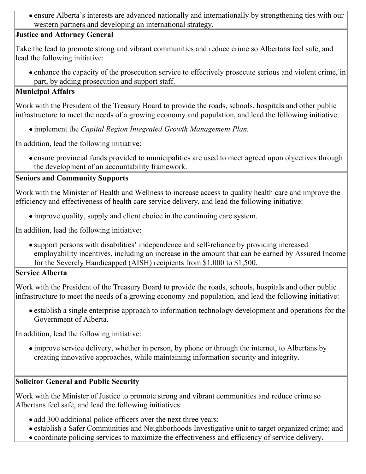ensure Alberta's interests are advanced nationally and internationally by strengthening ties with our western partners and developing an international strategy.

#### **Justice and Attorney General**

Take the lead to promote strong and vibrant communities and reduce crime so Albertans feel safe, and lead the following initiative:

enhance the capacity of the prosecution service to effectively prosecute serious and violent crime, in part, by adding prosecution and support staff.

#### **Municipal Affairs**

Work with the President of the Treasury Board to provide the roads, schools, hospitals and other public infrastructure to meet the needs of a growing economy and population, and lead the following initiative:

implement the *Capital Region Integrated Growth Management Plan.*

In addition, lead the following initiative:

ensure provincial funds provided to municipalities are used to meet agreed upon objectives through the development of an accountability framework.

#### **Seniors and Community Supports**

Work with the Minister of Health and Wellness to increase access to quality health care and improve the efficiency and effectiveness of health care service delivery, and lead the following initiative:

improve quality, supply and client choice in the continuing care system.

In addition, lead the following initiative:

support persons with disabilities' independence and self-reliance by providing increased employability incentives, including an increase in the amount that can be earned by Assured Income for the Severely Handicapped (AISH) recipients from \$1,000 to \$1,500.

#### **Service Alberta**

Work with the President of the Treasury Board to provide the roads, schools, hospitals and other public infrastructure to meet the needs of a growing economy and population, and lead the following initiative:

establish a single enterprise approach to information technology development and operations for the Government of Alberta.

In addition, lead the following initiative:

improve service delivery, whether in person, by phone or through the internet, to Albertans by creating innovative approaches, while maintaining information security and integrity.

#### **Solicitor General and Public Security**

Work with the Minister of Justice to promote strong and vibrant communities and reduce crime so Albertans feel safe, and lead the following initiatives:

- add 300 additional police officers over the next three years;
- establish a Safer Communities and Neighborhoods Investigative unit to target organized crime; and
- coordinate policing services to maximize the effectiveness and efficiency of service delivery.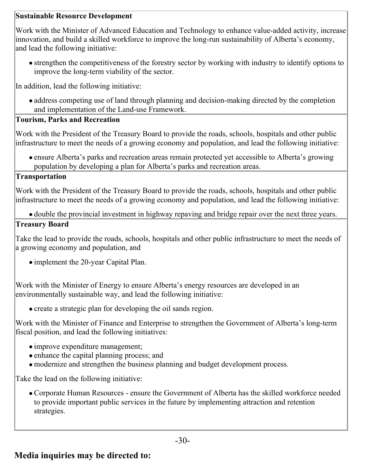#### **Sustainable Resource Development**

Work with the Minister of Advanced Education and Technology to enhance value-added activity, increase innovation, and build a skilled workforce to improve the long-run sustainability of Alberta's economy, and lead the following initiative:

strengthen the competitiveness of the forestry sector by working with industry to identify options to improve the long-term viability of the sector.

In addition, lead the following initiative:

• address competing use of land through planning and decision-making directed by the completion and implementation of the Land-use Framework.

#### **Tourism, Parks and Recreation**

Work with the President of the Treasury Board to provide the roads, schools, hospitals and other public infrastructure to meet the needs of a growing economy and population, and lead the following initiative:

ensure Alberta's parks and recreation areas remain protected yet accessible to Alberta's growing population by developing a plan for Alberta's parks and recreation areas.

#### **Transportation**

Work with the President of the Treasury Board to provide the roads, schools, hospitals and other public infrastructure to meet the needs of a growing economy and population, and lead the following initiative:

double the provincial investment in highway repaving and bridge repair over the next three years.

#### **Treasury Board**

Take the lead to provide the roads, schools, hospitals and other public infrastructure to meet the needs of a growing economy and population, and

• implement the 20-year Capital Plan.

Work with the Minister of Energy to ensure Alberta's energy resources are developed in an environmentally sustainable way, and lead the following initiative:

• create a strategic plan for developing the oil sands region.

Work with the Minister of Finance and Enterprise to strengthen the Government of Alberta's long-term fiscal position, and lead the following initiatives:

- improve expenditure management;
- enhance the capital planning process; and
- modernize and strengthen the business planning and budget development process.

Take the lead on the following initiative:

Corporate Human Resources - ensure the Government of Alberta has the skilled workforce needed to provide important public services in the future by implementing attraction and retention strategies.

### **Media inquiries may be directed to:**